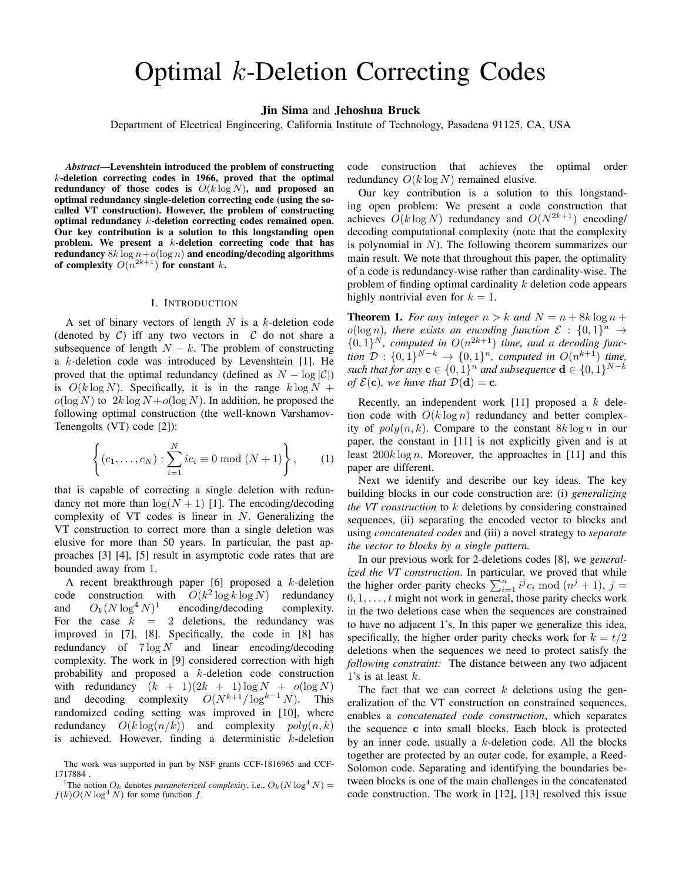# Optimal k-Deletion Correcting Codes

# Jin Sima and Jehoshua Bruck

Department of Electrical Engineering, California Institute of Technology, Pasadena 91125, CA, USA

*Abstract*—Levenshtein introduced the problem of constructing k-deletion correcting codes in 1966, proved that the optimal redundancy of those codes is  $O(k \log N)$ , and proposed an optimal redundancy single-deletion correcting code (using the socalled VT construction). However, the problem of constructing optimal redundancy k-deletion correcting codes remained open. Our key contribution is a solution to this longstanding open problem. We present a k-deletion correcting code that has redundancy  $8k \log n + o(\log n)$  and encoding/decoding algorithms of complexity  $O(n^{2k+1})$  for constant k.

### I. INTRODUCTION

A set of binary vectors of length  $N$  is a  $k$ -deletion code (denoted by  $C$ ) iff any two vectors in  $C$  do not share a subsequence of length  $N - k$ . The problem of constructing a  $k$ -deletion code was introduced by Levenshtein [1]. He proved that the optimal redundancy (defined as  $N - \log |\mathcal{C}|$ ) is  $O(k \log N)$ . Specifically, it is in the range  $k \log N +$  $o(\log N)$  to  $2k \log N + o(\log N)$ . In addition, he proposed the following optimal construction (the well-known Varshamov-Tenengolts (VT) code [2]):

$$
\left\{ (c_1, ..., c_N) : \sum_{i=1}^{N} ic_i \equiv 0 \bmod (N+1) \right\},\qquad(1)
$$

that is capable of correcting a single deletion with redundancy not more than  $\log(N + 1)$  [1]. The encoding/decoding complexity of VT codes is linear in  $N$ . Generalizing the VT construction to correct more than a single deletion was elusive for more than 50 years. In particular, the past approaches [3] [4], [5] result in asymptotic code rates that are bounded away from 1.

A recent breakthrough paper  $[6]$  proposed a k-deletion code construction with  $O(k^2 \log k \log N)$  redundancy and  $O_k(N \log^4 N)^1$ encoding/decoding complexity. For the case  $k = 2$  deletions, the redundancy was improved in [7], [8]. Specifically, the code in [8] has redundancy of  $7 \log N$  and linear encoding/decoding complexity. The work in [9] considered correction with high probability and proposed a k-deletion code construction with redundancy  $(k + 1)(2k + 1) \log N + o(\log N)$ and decoding complexity  $O(N^{k+1}/\log^{k-1} N)$ . This randomized coding setting was improved in [10], where redundancy  $O(k \log(n/k))$  and complexity  $poly(n, k)$ is achieved. However, finding a deterministic  $k$ -deletion code construction that achieves the optimal order redundancy  $O(k \log N)$  remained elusive.

Our key contribution is a solution to this longstanding open problem: We present a code construction that achieves  $O(k \log N)$  redundancy and  $O(N^{2k+1})$  encoding/ decoding computational complexity (note that the complexity is polynomial in  $N$ ). The following theorem summarizes our main result. We note that throughout this paper, the optimality of a code is redundancy-wise rather than cardinality-wise. The problem of finding optimal cardinality k deletion code appears highly nontrivial even for  $k = 1$ .

**Theorem 1.** *For any integer*  $n > k$  *and*  $N = n + 8k \log n + 1$  $o(\log n)$ , there exists an encoding function  $\mathcal{E} : \{0,1\}^n \to$  $\{0,1\}^N$ , computed in  $O(n^{2k+1})$  time, and a decoding func*tion*  $\mathcal{D}: \{0,1\}^{N-k} \to \{0,1\}^n$ , *computed in*  $O(n^{k+1})$  *time*, such that for any  $\mathbf{c} \in \{0,1\}^n$  and subsequence  $\mathbf{d} \in \{0,1\}^{N-k}$ *of*  $\mathcal{E}(\mathbf{c})$ *, we have that*  $\mathcal{D}(\mathbf{d}) = \mathbf{c}$ *.* 

Recently, an independent work [11] proposed a  $k$  deletion code with  $O(k \log n)$  redundancy and better complexity of  $poly(n, k)$ . Compare to the constant  $8k \log n$  in our paper, the constant in [11] is not explicitly given and is at least  $200k \log n$ . Moreover, the approaches in [11] and this paper are different.

Next we identify and describe our key ideas. The key building blocks in our code construction are: (i) *generalizing the VT construction* to k deletions by considering constrained sequences, (ii) separating the encoded vector to blocks and using *concatenated codes* and (iii) a novel strategy to *separate the vector to blocks by a single pattern.*

In our previous work for 2-deletions codes [8], we *generalized the VT construction*. In particular, we proved that while the higher order parity checks  $\sum_{i=1}^{n} i^{j} c_{i} \text{ mod } (n^{j} + 1)$ ,  $j =$  $0, 1, \ldots, t$  might not work in general, those parity checks work in the two deletions case when the sequences are constrained to have no adjacent 1's. In this paper we generalize this idea, specifically, the higher order parity checks work for  $k = t/2$ deletions when the sequences we need to protect satisfy the *following constraint:* The distance between any two adjacent 1's is at least  $k$ .

The fact that we can correct  $k$  deletions using the generalization of the VT construction on constrained sequences, enables a *concatenated code construction*, which separates the sequence c into small blocks. Each block is protected by an inner code, usually a  $k$ -deletion code. All the blocks together are protected by an outer code, for example, a Reed-Solomon code. Separating and identifying the boundaries between blocks is one of the main challenges in the concatenated code construction. The work in [12], [13] resolved this issue

The work was supported in part by NSF grants CCF-1816965 and CCF-1717884 .

<sup>&</sup>lt;sup>1</sup>The notion  $O_k$  denotes *parameterized complexity*, i.e.,  $O_k(N \log^4 N)$  =  $f(k)O(N \log^4 N)$  for some function f.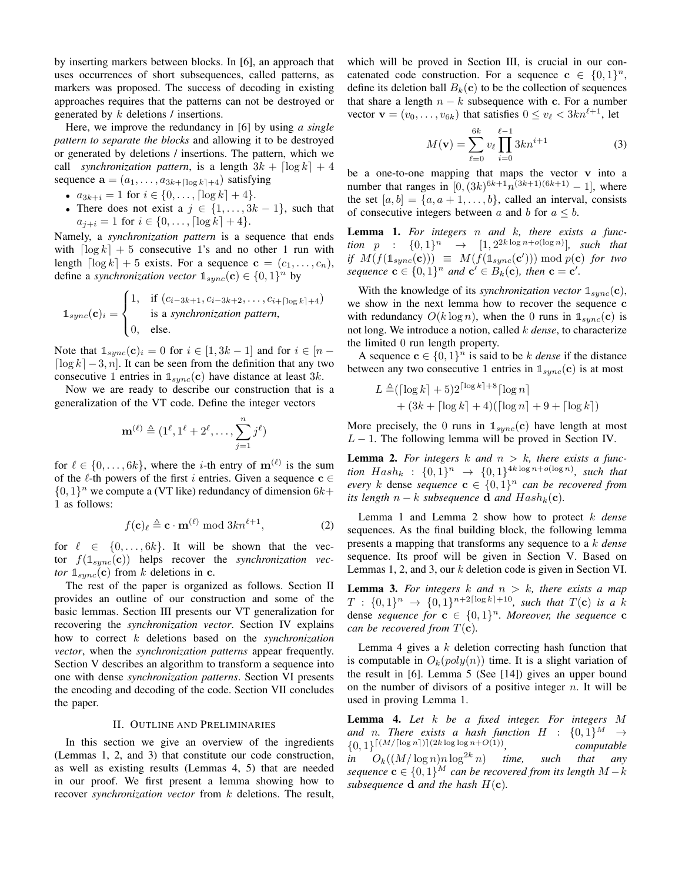by inserting markers between blocks. In [6], an approach that uses occurrences of short subsequences, called patterns, as markers was proposed. The success of decoding in existing approaches requires that the patterns can not be destroyed or generated by k deletions / insertions.

Here, we improve the redundancy in [6] by using *a single pattern to separate the blocks* and allowing it to be destroyed or generated by deletions / insertions. The pattern, which we call *synchronization pattern*, is a length  $3k + \lceil \log k \rceil + 4$ sequence  $\mathbf{a} = (a_1, \dots, a_{3k+[\log k]+4})$  satisfying

•  $a_{3k+i} = 1$  for  $i \in \{0, \ldots, \lceil \log k \rceil + 4\}.$ 

• There does not exist a  $j \in \{1, \ldots, 3k-1\}$ , such that  $a_{i+i} = 1$  for  $i \in \{0, \ldots, \lceil \log k \rceil + 4\}.$ 

Namely, a *synchronization pattern* is a sequence that ends with  $\lceil \log k \rceil + 5$  consecutive 1's and no other 1 run with length  $\lceil \log k \rceil + 5$  exists. For a sequence  $\mathbf{c} = (c_1, \ldots, c_n)$ , define a *synchronization vector*  $\mathbb{1}_{sync}(\mathbf{c}) \in \{0, 1\}^n$  by

$$
\mathbb{1}_{sync}(\mathbf{c})_i = \begin{cases} 1, & \text{if } (c_{i-3k+1}, c_{i-3k+2}, \dots, c_{i+\lceil \log k \rceil + 4}) \\ & \text{is a synchronization pattern,} \\ 0, & \text{else.} \end{cases}
$$

Note that  $\mathbb{1}_{sync}(\mathbf{c})_i = 0$  for  $i \in [1, 3k-1]$  and for  $i \in [n-1]$  $\lceil \log k \rceil - 3, n$ . It can be seen from the definition that any two consecutive 1 entries in  $\mathbb{1}_{sync}(\mathbf{c})$  have distance at least 3k.

Now we are ready to describe our construction that is a generalization of the VT code. Define the integer vectors

$$
\mathbf{m}^{(\ell)}\triangleq(1^{\ell},1^{\ell}+2^{\ell},\ldots,\sum_{j=1}^{n}j^{\ell})
$$

for  $\ell \in \{0, \ldots, 6k\}$ , where the *i*-th entry of  $\mathbf{m}^{(\ell)}$  is the sum of the  $\ell$ -th powers of the first i entries. Given a sequence  $c \in$  $\{0, 1\}^n$  we compute a (VT like) redundancy of dimension  $6k+$ 1 as follows:

$$
f(\mathbf{c})_{\ell} \triangleq \mathbf{c} \cdot \mathbf{m}^{(\ell)} \bmod 3kn^{\ell+1},\tag{2}
$$

for  $\ell \in \{0, \ldots, 6k\}$ . It will be shown that the vector  $f(1_{sync}(\mathbf{c}))$  helps recover the *synchronization vector*  $\mathbb{1}_{\text{sync}}(c)$  from k deletions in c.

The rest of the paper is organized as follows. Section II provides an outline of our construction and some of the basic lemmas. Section III presents our VT generalization for recovering the *synchronization vector*. Section IV explains how to correct k deletions based on the *synchronization vector*, when the *synchronization patterns* appear frequently. Section V describes an algorithm to transform a sequence into one with dense *synchronization patterns*. Section VI presents the encoding and decoding of the code. Section VII concludes the paper.

# II. OUTLINE AND PRELIMINARIES

In this section we give an overview of the ingredients (Lemmas 1, 2, and 3) that constitute our code construction, as well as existing results (Lemmas 4, 5) that are needed in our proof. We first present a lemma showing how to recover *synchronization vector* from k deletions. The result,

which will be proved in Section III, is crucial in our concatenated code construction. For a sequence  $\mathbf{c} \in \{0,1\}^n$ , define its deletion ball  $B_k(c)$  to be the collection of sequences that share a length  $n - k$  subsequence with c. For a number vector  $\mathbf{v} = (v_0, \dots, v_{6k})$  that satisfies  $0 \le v_\ell < 3kn^{\ell+1}$ , let

$$
M(\mathbf{v}) = \sum_{\ell=0}^{6k} v_{\ell} \prod_{i=0}^{\ell-1} 3kn^{i+1}
$$
 (3)

be a one-to-one mapping that maps the vector v into a number that ranges in  $[0, (3k)^{6k+1}n^{(3k+1)(6k+1)} - 1]$ , where the set  $[a, b] = \{a, a+1, \ldots, b\}$ , called an interval, consists of consecutive integers between a and b for  $a \leq b$ .

Lemma 1. *For integers* n *and* k*, there exists a function*  $p : \{0,1\}^n \rightarrow [1,2^{2k \log n + o(\log n)}],$  such that *if*  $M(f(\mathbb{1}_{sync}(c))) \equiv M(f(\mathbb{1}_{sync}(c'))) \bmod p(c)$  *for two sequence*  $\mathbf{c} \in \{0,1\}^n$  *and*  $\mathbf{c}' \in B_k(\mathbf{c})$ *, then*  $\mathbf{c} = \mathbf{c}'$ *.* 

With the knowledge of its *synchronization vector*  $\mathbb{1}_{\text{sync}}(c)$ , we show in the next lemma how to recover the sequence c with redundancy  $O(k \log n)$ , when the 0 runs in  $\mathbb{1}_{\text{sync}}(\mathbf{c})$  is not long. We introduce a notion, called k *dense*, to characterize the limited 0 run length property.

A sequence  $\mathbf{c} \in \{0,1\}^n$  is said to be k *dense* if the distance between any two consecutive 1 entries in  $\mathbb{1}_{\text{sum}}(c)$  is at most

$$
L \triangleq (\lceil \log k \rceil + 5) 2^{\lceil \log k \rceil + 8} \lceil \log n \rceil
$$
  
+  $(3k + \lceil \log k \rceil + 4) (\lceil \log n \rceil + 9 + \lceil \log k \rceil)$ 

More precisely, the 0 runs in  $\mathbb{1}_{sync}(\mathbf{c})$  have length at most  $L - 1$ . The following lemma will be proved in Section IV.

**Lemma 2.** For integers  $k$  and  $n > k$ , there exists a func*tion*  $Hash_k$  :  $\{0,1\}^n$   $\rightarrow$   $\{0,1\}^{4k \log n + o(\log n)}$ , such that *every* k dense *sequence*  $c \in \{0,1\}^n$  *can be recovered from its length*  $n - k$  *subsequence* **d** *and*  $Hash_k(c)$ *.* 

Lemma 1 and Lemma 2 show how to protect k *dense* sequences. As the final building block, the following lemma presents a mapping that transforms any sequence to a k *dense* sequence. Its proof will be given in Section V. Based on Lemmas 1, 2, and 3, our k deletion code is given in Section VI.

**Lemma 3.** For integers  $k$  and  $n > k$ , there exists a map  $T : \{0,1\}^n \to \{0,1\}^{n+2\lceil \log k \rceil + 10}$ , such that  $T(\mathbf{c})$  is a k dense *sequence for*  $\mathbf{c} \in \{0,1\}^n$ . Moreover, the sequence  $\mathbf{c}$ *can be recovered from*  $T(c)$ *.* 

Lemma 4 gives a  $k$  deletion correcting hash function that is computable in  $O_k(poly(n))$  time. It is a slight variation of the result in [6]. Lemma 5 (See [14]) gives an upper bound on the number of divisors of a positive integer  $n$ . It will be used in proving Lemma 1.

Lemma 4. *Let* k *be a fixed integer. For integers* M and n. There exists a hash function  $H : \{0,1\}^M \rightarrow$  ${0,1}^{\lceil (M/\lceil \log n \rceil) \rceil (2k \log \log n + O(1))},$  *computable in*  $O_k((M/\log n)n \log^{2k} n)$  *time, such that any sequence*  $\mathbf{c} \in \{0,1\}^M$  *can be recovered from its length*  $M - k$ *subsequence* **d** *and the hash*  $H(c)$ *.*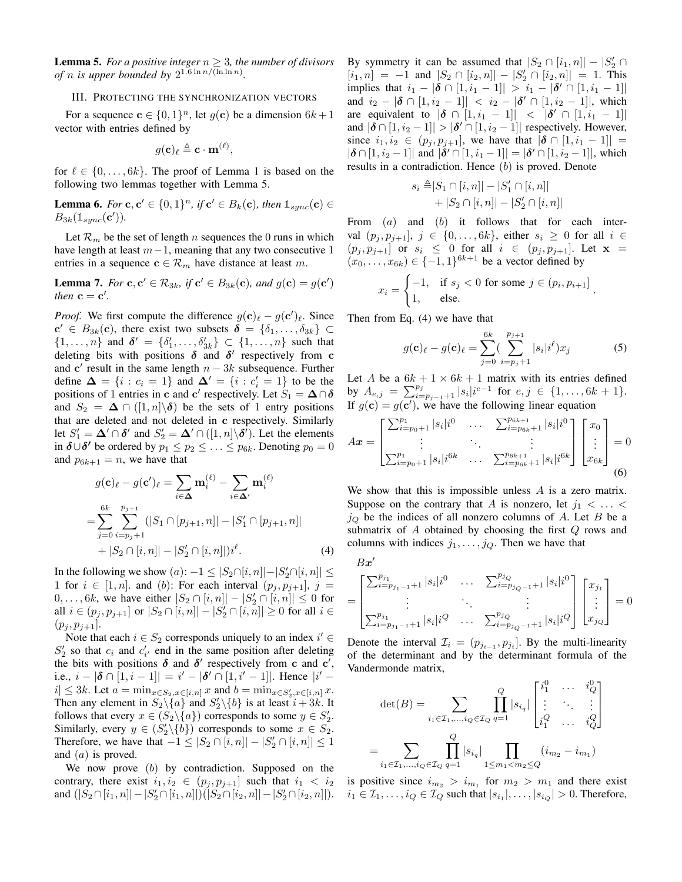**Lemma 5.** *For a positive integer*  $n \geq 3$ *, the number of divisors of n is upper bounded by*  $2^{1.6 \ln n / (\ln \ln n)}$ .

## III. PROTECTING THE SYNCHRONIZATION VECTORS

For a sequence  $\mathbf{c} \in \{0, 1\}^n$ , let  $g(\mathbf{c})$  be a dimension  $6k+1$ vector with entries defined by

$$
g(\mathbf{c})_{\ell} \triangleq \mathbf{c} \cdot \mathbf{m}^{(\ell)},
$$

for  $\ell \in \{0, \ldots, 6k\}$ . The proof of Lemma 1 is based on the following two lemmas together with Lemma 5.

**Lemma 6.** For  $c, c' \in \{0, 1\}^n$ , if  $c' \in B_k(c)$ , then  $\mathbb{1}_{sync}(c) \in$  $B_{3k}(\mathbb{1}_{sync}(\mathbf{c}')).$ 

Let  $\mathcal{R}_m$  be the set of length n sequences the 0 runs in which have length at least  $m-1$ , meaning that any two consecutive 1 entries in a sequence  $\mathbf{c} \in \mathcal{R}_m$  have distance at least m.

**Lemma 7.** *For* **c**,  $\mathbf{c}' \in \mathcal{R}_{3k}$ , if  $\mathbf{c}' \in B_{3k}(\mathbf{c})$ , and  $g(\mathbf{c}) = g(\mathbf{c}')$ *then*  $\mathbf{c} = \mathbf{c}'$ *.* 

*Proof.* We first compute the difference  $g(c)_{\ell} - g(c')_{\ell}$ . Since  $\mathbf{c}' \in B_{3k}(\mathbf{c})$ , there exist two subsets  $\boldsymbol{\delta} = \{\delta_1, \ldots, \delta_{3k}\}\subset$  $\{1, \ldots, n\}$  and  $\delta' = \{\delta'_1, \ldots, \delta'_{3k}\} \subset \{1, \ldots, n\}$  such that deleting bits with positions  $\delta$  and  $\delta'$  respectively from c and  $c'$  result in the same length  $n - 3k$  subsequence. Further define  $\Delta = \{i : c_i = 1\}$  and  $\Delta' = \{i : c'_i = 1\}$  to be the positions of 1 entries in c and c' respectively. Let  $S_1 = \Delta \cap \delta$ and  $S_2 = \Delta \cap (1, n] \setminus \delta$  be the sets of 1 entry positions that are deleted and not deleted in c respectively. Similarly let  $S'_1 = \Delta' \cap \delta'$  and  $S'_2 = \Delta' \cap ([1, n] \backslash \delta')$ . Let the elements in  $\delta \cup \delta'$  be ordered by  $p_1 \leq p_2 \leq \ldots \leq p_{6k}$ . Denoting  $p_0 = 0$ and  $p_{6k+1} = n$ , we have that

$$
g(\mathbf{c})_{\ell} - g(\mathbf{c}')_{\ell} = \sum_{i \in \mathbf{\Delta}} \mathbf{m}_{i}^{(\ell)} - \sum_{i \in \mathbf{\Delta}'} \mathbf{m}_{i}^{(\ell)}
$$

$$
= \sum_{j=0}^{6k} \sum_{i=p_j+1}^{p_{j+1}} (|S_1 \cap [p_{j+1}, n]| - |S'_1 \cap [p_{j+1}, n]| + |S_2 \cap [i, n]| - |S'_2 \cap [i, n]|) i^{\ell}. \tag{4}
$$

In the following we show  $(a)$ :  $-1 \leq |S_2 \cap [i, n]| - |S'_2 \cap [i, n]| \leq$ 1 for  $i \in [1, n]$ . and (b): For each interval  $(p_j, p_{j+1}], j =$  $0, \ldots, 6k$ , we have either  $|S_2 \cap [i, n]| - |S'_2 \cap [i, n]| \leq 0$  for all  $i \in (p_j, p_{j+1}]$  or  $|S_2 \cap [i, n]| - |S'_2 \cap [i, n]| \ge 0$  for all  $i \in$  $(p_j, p_{j+1}].$ 

Note that each  $i \in S_2$  corresponds uniquely to an index  $i' \in S_1$  $S'_2$  so that  $c_i$  and  $c'_{i'}$  end in the same position after deleting the bits with positions  $\delta$  and  $\delta'$  respectively from c and c', i.e.,  $i - |\delta \cap [1, i - 1]| = i' - |\delta' \cap [1, i' - 1]|$ . Hence  $|i' |i| \leq 3k$ . Let  $a = \min_{x \in S_2, x \in [i,n]} x$  and  $b = \min_{x \in S_2', x \in [i,n]} x$ . Then any element in  $S_2 \setminus \{a\}$  and  $S_2' \setminus \{b\}$  is at least  $i + 3k$ . It follows that every  $x \in (S_2 \setminus \{a\})$  corresponds to some  $y \in S'_2$ . Similarly, every  $y \in (S'_2 \setminus \{b\})$  corresponds to some  $x \in S_2$ . Therefore, we have that  $-1 \leq |S_2 \cap [i, n]| - |S_2' \cap [i, n]| \leq 1$ and  $(a)$  is proved.

We now prove  $(b)$  by contradiction. Supposed on the contrary, there exist  $i_1, i_2 \in (p_j, p_{j+1}]$  such that  $i_1 < i_2$ and  $(|S_2 \cap [i_1, n]| - |S'_2 \cap [i_1, n]|)(|S_2 \cap [i_2, n]| - |S'_2 \cap [i_2, n]|).$ 

By symmetry it can be assumed that  $|S_2 \cap [i_1, n]| - |S'_2 \cap [i_2, n]|$  $[i_1, n] = -1$  and  $|S_2 \cap [i_2, n]| - |S'_2 \cap [i_2, n]| = 1$ . This implies that  $i_1 - |\delta \cap [1, i_1 - 1]| > i_1 - |\delta' \cap [1, i_1 - 1]|$ and  $i_2 - |\delta \cap [1, i_2 - 1]| \leq i_2 - |\delta' \cap [1, i_2 - 1]|$ , which are equivalent to  $|\boldsymbol{\delta} \cap [1, i_1 - 1]| < |\boldsymbol{\delta}' \cap [1, i_1 - 1]|$ and  $|\boldsymbol{\delta} \cap [1, i_2 - 1]| > |\boldsymbol{\delta}' \cap [1, i_2 - 1]|$  respectively. However, since  $i_1, i_2 \in (p_j, p_{j+1}],$  we have that  $|\delta \cap [1, i_1 - 1]| =$  $|\delta \cap [1, i_2 - 1]|$  and  $|\delta' \cap [1, i_1 - 1]| = |\delta' \cap [1, i_2 - 1]|$ , which results in a contradiction. Hence  $(b)$  is proved. Denote

$$
s_i \triangleq |S_1 \cap [i, n]| - |S'_1 \cap [i, n]| + |S_2 \cap [i, n]| - |S'_2 \cap [i, n]|
$$

From  $(a)$  and  $(b)$  it follows that for each interval  $(p_j, p_{j+1}], j \in \{0, ..., 6k\}$ , either  $s_i \geq 0$  for all  $i \in$  $(p_j, p_{j+1}]$  or  $s_i \leq 0$  for all  $i \in (p_j, p_{j+1}]$ . Let  $\mathbf{x} =$  $(x_0, \ldots, x_{6k}) \in \{-1, 1\}^{6k+1}$  be a vector defined by

$$
x_i = \begin{cases} -1, & \text{if } s_j < 0 \text{ for some } j \in (p_i, p_{i+1}] \\ 1, & \text{else.} \end{cases}
$$

Then from Eq. (4) we have that

$$
g(\mathbf{c})_{\ell} - g(\mathbf{c})_{\ell} = \sum_{j=0}^{6k} \left( \sum_{i=p_j+1}^{p_{j+1}} |s_i|i^{\ell} \right) x_j \tag{5}
$$

.

Let A be a  $6k + 1 \times 6k + 1$  matrix with its entries defined by  $A_{e,j} = \sum_{i=p_{j-1}+1}^{p_j} |s_i| i^{e-1}$  for  $e, j \in \{1, ..., 6k+1\}.$ If  $g(c) = g(c')$ , we have the following linear equation

$$
A\boldsymbol{x} = \begin{bmatrix} \sum_{i=p_0+1}^{p_1} |s_i| i^0 & \dots & \sum_{i=p_{6k}+1}^{p_{6k+1}} |s_i| i^0 \\ \vdots & \ddots & \vdots \\ \sum_{i=p_0+1}^{p_1} |s_i| i^{6k} & \dots & \sum_{i=p_{6k}+1}^{p_{6k+1}} |s_i| i^{6k} \end{bmatrix} \begin{bmatrix} x_0 \\ \vdots \\ x_{6k} \end{bmatrix} = 0
$$
\n(6)

We show that this is impossible unless  $A$  is a zero matrix. Suppose on the contrary that A is nonzero, let  $j_1 < \ldots <$  $j_Q$  be the indices of all nonzero columns of A. Let B be a submatrix of  $A$  obtained by choosing the first  $Q$  rows and columns with indices  $j_1, \ldots, j_Q$ . Then we have that

 $B$ x $^\prime$ 

=

$$
= \begin{bmatrix} \sum_{i=p_{j_1-1}+1}^{p_{j_1}} |s_i| i^0 & \dots & \sum_{i=p_{j_Q-1}+1}^{p_{j_Q}} |s_i| i^0 \\ \vdots & \ddots & \vdots \\ \sum_{i=p_{j_1-1}+1}^{p_{j_1}} |s_i| i^Q & \dots & \sum_{i=p_{j_Q-1}+1}^{p_{j_Q}} |s_i| i^Q \end{bmatrix} \begin{bmatrix} x_{j_1} \\ \vdots \\ x_{j_Q} \end{bmatrix} = 0
$$

Denote the interval  $\mathcal{I}_i = (p_{j_{i-1}}, p_{j_i}]$ . By the multi-linearity of the determinant and by the determinant formula of the Vandermonde matrix,

$$
\det(B) = \sum_{i_1 \in \mathcal{I}_1, \dots, i_Q \in \mathcal{I}_Q} \prod_{q=1}^Q |s_{i_q}| \begin{bmatrix} i_1^0 & \cdots & i_Q^0 \\ \vdots & \ddots & \vdots \\ i_1^Q & \cdots & i_Q^Q \end{bmatrix}
$$

$$
= \sum_{i_1 \in \mathcal{I}_1, \dots, i_Q \in \mathcal{I}_Q} \prod_{q=1}^Q |s_{i_q}| \prod_{1 \le m_1 < m_2 \le Q} (i_{m_2} - i_{m_1})
$$

is positive since  $i_{m_2} > i_{m_1}$  for  $m_2 > m_1$  and there exist  $i_1 \in \mathcal{I}_1, \ldots, i_Q \in \mathcal{I}_Q$  such that  $|s_{i_1}|, \ldots, |s_{i_Q}| > 0$ . Therefore,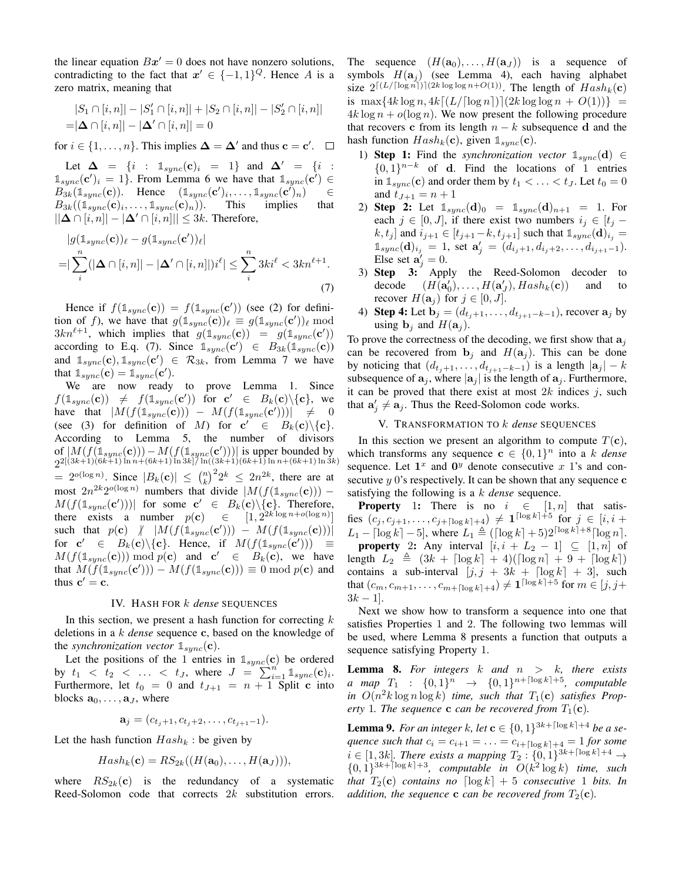the linear equation  $Bx' = 0$  does not have nonzero solutions, contradicting to the fact that  $x' \in \{-1,1\}^Q$ . Hence A is a zero matrix, meaning that

$$
|S_1 \cap [i, n]| - |S'_1 \cap [i, n]| + |S_2 \cap [i, n]| - |S'_2 \cap [i, n]|
$$
  
=  $|\Delta \cap [i, n]| - |\Delta' \cap [i, n]| = 0$ 

for  $i \in \{1, \ldots, n\}$ . This implies  $\Delta = \Delta'$  and thus  $\mathbf{c} = \mathbf{c}'$ .

Let  $\Delta = \{i : 1_{sync}(\mathbf{c})_i = 1\}$  and  $\Delta' = \{i : 0\}$  $\mathbb{1}_{sync}(\mathbf{c}')_i = 1$ . From Lemma 6 we have that  $\mathbb{1}_{sync}(\mathbf{c}') \in$  $B_{3k}(\mathbb{1}_{sync}(\mathbf{c}))$ . Hence  $(\mathbb{1}_{sync}(\mathbf{c}')_i, \dots, \mathbb{1}_{sync}(\mathbf{c}')_n)$   $\in$  $B_{3k}((\mathbb{1}_{sync}(\mathbf{c})_i, \dots, \mathbb{1}_{sync}(\mathbf{c})_n)).$  This implies that  $||\Delta \cap [i, n]| - |\Delta' \cap [i, n]| \leq 3k$ . Therefore,

$$
|g(\mathbb{1}_{sync}(\mathbf{c}))_{\ell} - g(\mathbb{1}_{sync}(\mathbf{c}'))_{\ell}|
$$
  
= 
$$
|\sum_{i}^{n} (|\Delta \cap [i, n]| - |\Delta' \cap [i, n]|)i^{\ell}| \leq \sum_{i}^{n} 3ki^{\ell} < 3kn^{\ell+1}.
$$
 (7)

Hence if  $f(\mathbb{1}_{sync}(\mathbf{c})) = f(\mathbb{1}_{sync}(\mathbf{c}'))$  (see (2) for definition of f), we have that  $g(\mathbb{1}_{sync}(\mathbf{c}))_l \equiv g(\mathbb{1}_{sync}(\mathbf{c}'))_l \mod$  $3kn^{\ell+1}$ , which implies that  $g(\mathbb{1}_{sync}(\mathbf{c})) = g(\mathbb{1}_{sync}(\mathbf{c}'))$ according to E.q. (7). Since  $\mathbb{1}_{sync}(\mathbf{c}') \in B_{3k}(\mathbb{1}_{sync}(\mathbf{c}))$ and  $\mathbb{1}_{sync}(\mathbf{c}), \mathbb{1}_{sync}(\mathbf{c}') \in \mathcal{R}_{3k}$ , from Lemma 7 we have that  $\mathbb{1}_{sync}(\mathbf{c}) = \mathbb{1}_{sync}(\mathbf{c}')$ .

We are now ready to prove Lemma 1. Since  $f(\mathbb{1}_{sync}(\mathbf{c})) \neq f(\mathbb{1}_{sync}(\mathbf{c}'))$  for  $\mathbf{c}' \in B_k(\mathbf{c}) \setminus {\mathbf{c}},$  we have that  $|M(f(\mathbb{1}_{sync}(\mathbf{c}))) - M(f(\mathbb{1}_{sync}(\mathbf{c}')))| \neq 0$ (see (3) for definition of M) for  $c' \in B_k(c) \setminus \{c\}.$ According to Lemma 5, the number of divisors of  $|M(f(\mathbb{1}_{sync}(\mathbf{c}))) - M(f(\mathbb{1}_{sync}(\mathbf{c}')))|$  is upper bounded by  $2^{2[(3k+1)(6k+1)\ln n+(6k+1)\ln 3k]/\ln((3k+1)(6k+1)\ln n+(6k+1)\ln 3k)}$  $= 2^{o(\log n)}$ . Since  $|B_k(c)| \leq {n \choose k}^2 2^k \leq 2n^{2k}$ , there are at most  $2n^{2k}2^{o(\log n)}$  numbers that divide  $|M(f(\mathbb{1}_{sync}(\mathbf{c}))) M(f(\mathbb{1}_{sync}(\mathbf{c}')))|$  for some  $\mathbf{c}' \in B_k(\mathbf{c})\backslash{\{\mathbf{c}\}}$ . Therefore, there exists a number  $p(c) \in [1, 2^{2k \log n + o(\log n)}]$ such that  $p(\mathbf{c})$   $\left| M(f(\mathbb{1}_{sync}(\mathbf{c}'))) - M(f(\mathbb{1}_{sync}(\mathbf{c}))) \right|$ for  $c' \in B_k(c) \setminus \{c\}$ . Hence, if  $M(f(\mathbb{1}_{sync}(c'))) \equiv$  $M(f(\mathbb{1}_{sync}(\mathbf{c}))) \bmod p(\mathbf{c})$  and  $\mathbf{c}' \in B_k(\mathbf{c})$ , we have that  $M(f(\mathbb{1}_{sync}(\mathbf{c}'))) - M(f(\mathbb{1}_{sync}(\mathbf{c}))) \equiv 0 \bmod p(\mathbf{c})$  and thus  $\mathbf{c}' = \mathbf{c}$ .

#### IV. HASH FOR k *dense* SEQUENCES

In this section, we present a hash function for correcting  $k$ deletions in a k *dense* sequence c, based on the knowledge of the *synchronization vector*  $\mathbb{1}_{sync}(\mathbf{c})$ .

Let the positions of the 1 entries in  $\mathbb{1}_{sync}(\mathbf{c})$  be ordered by  $t_1 < t_2 < ... < t_J$ , where  $J = \sum_{i=1}^{J} \mathbb{1}_{sync}(\mathbf{c})_i$ . Furthermore, let  $t_0 = 0$  and  $t_{J+1} = n + 1$  Split c into blocks  $\mathbf{a}_0, \ldots, \mathbf{a}_J$ , where

$$
\mathbf{a}_j = (c_{t_j+1}, c_{t_j+2}, \dots, c_{t_{j+1}-1}).
$$

Let the hash function  $Hash_k$ : be given by

$$
Hash_k(\mathbf{c}) = RS_{2k}((H(\mathbf{a}_0), \dots, H(\mathbf{a}_J))),
$$

where  $RS_{2k}(c)$  is the redundancy of a systematic Reed-Solomon code that corrects  $2k$  substitution errors.

The sequence  $(H(\mathbf{a}_0),...,H(\mathbf{a}_J))$  is a sequence of symbols  $H(\mathbf{a}_i)$  (see Lemma 4), each having alphabet size  $2^{[(L/(\log n))](2k \log \log n + O(1))}$ . The length of  $Hash_k(c)$ is  $\max\{4k\log n, 4k\lceil(L/[\log n])](2k\log \log n + O(1))\}$  =  $4k \log n + o(\log n)$ . We now present the following procedure that recovers c from its length  $n - k$  subsequence d and the hash function  $Hash_k(c)$ , given  $\mathbb{1}_{sync}(c)$ .

- 1) **Step 1:** Find the *synchronization vector*  $\mathbb{1}_{\text{sumc}}(\mathbf{d}) \in$  $\{0,1\}^{n-k}$  of d. Find the locations of 1 entries in  $\mathbb{1}_{sync}(\mathbf{c})$  and order them by  $t_1 < \ldots < t_J$ . Let  $t_0 = 0$ and  $t_{J+1} = n + 1$
- 2) **Step 2:** Let  $\mathbb{1}_{sync}(d)_0 = \mathbb{1}_{sync}(d)_{n+1} = 1$ . For each  $j \in [0, J]$ , if there exist two numbers  $i_j \in [t_j$  $k, t_j$  and  $i_{j+1} \in [t_{j+1}-k, t_{j+1}]$  such that  $\mathbb{1}_{\text{sync}}(\mathbf{d})_{i_j} =$  $\mathbb{1}_{sync}(\mathbf{d})_{i_j} = 1$ , set  $\mathbf{a}'_j = (d_{i_j+1}, d_{i_j+2}, \ldots, d_{i_{j+1}-1}).$ Else set  $\mathbf{a}'_j = 0$ .
- 3) Step 3: Apply the Reed-Solomon decoder to decode  $U_0$ ,...,  $H(\mathbf{a}'_J)$ ,  $Hash_k(\mathbf{c})$  and to recover  $H(\mathbf{a}_j)$  for  $j \in [0, J]$ .
- 4) Step 4: Let  $\mathbf{b}_j = (d_{t_j+1}, \ldots, d_{t_{j+1}-k-1})$ , recover  $\mathbf{a}_j$  by using  $\mathbf{b}_j$  and  $H(\mathbf{a}_j)$ .

To prove the correctness of the decoding, we first show that  $a_j$ can be recovered from  $\mathbf{b}_i$  and  $H(\mathbf{a}_i)$ . This can be done by noticing that  $(d_{t_i+1}, \ldots, d_{t_{i+1}-k-1})$  is a length  $|\mathbf{a}_j| - k$ subsequence of  $a_j$ , where  $|a_j|$  is the length of  $a_j$ . Furthermore, it can be proved that there exist at most  $2k$  indices  $j$ , such that  $\mathbf{a}'_j \neq \mathbf{a}_j$ . Thus the Reed-Solomon code works.

#### V. TRANSFORMATION TO k *dense* SEQUENCES

In this section we present an algorithm to compute  $T(c)$ , which transforms any sequence  $\mathbf{c} \in \{0,1\}^n$  into a k *dense* sequence. Let  $1^x$  and  $0^y$  denote consecutive x 1's and consecutive  $y$  0's respectively. It can be shown that any sequence  $c$ satisfying the following is a k *dense* sequence.

**Property** 1: There is no  $i \in [1, n]$  that satisfies  $(c_j, c_{j+1}, \ldots, c_{j+\lceil \log k \rceil+4}) \neq \mathbf{1}^{\lceil \log k \rceil+5}$  for  $j \in [i, i + 1]$  $L_1 - \lceil \log k \rceil - 5$ , where  $L_1 \triangleq (\lceil \log k \rceil + 5)2^{\lceil \log k \rceil + 8} \lceil \log n \rceil$ . **property** 2: Any interval  $[i, i + L_2 - 1] \subseteq [1, n]$  of length  $L_2 \triangleq (3k + \lceil \log k \rceil + 4)(\lceil \log n \rceil + 9 + \lceil \log k \rceil)$ contains a sub-interval  $[j, j + 3k + \lceil \log k \rceil + 3]$ , such that  $(c_m, c_{m+1}, \ldots, c_{m+\lceil \log k \rceil+4}) \neq \mathbf{1}^{\lceil \log k \rceil+5}$  for  $m \in [j, j+4]$  $3k - 1$ .

Next we show how to transform a sequence into one that satisfies Properties 1 and 2. The following two lemmas will be used, where Lemma 8 presents a function that outputs a sequence satisfying Property 1.

Lemma 8. *For integers* k *and* n > k*, there exists a* map  $T_1$  :  $\{0,1\}^n$   $\rightarrow$   $\{0,1\}^{n+\lceil \log k \rceil +5}$ , computable in  $O(n^2k \log n \log k)$  *time, such that*  $T_1(c)$  *satisfies Property* 1. The sequence **c** *can be recovered from*  $T_1(c)$ *.* 

**Lemma 9.** For an integer k, let  $c \in \{0, 1\}^{3k + \lceil \log k \rceil + 4}$  be a se*quence such that*  $c_i = c_{i+1} = ... = c_{i+\lceil \log k \rceil+4} = 1$  *for some*  $i \in [1, 3k]$ . There exists a mapping  $T_2 : \{0, 1\}^{3k + \lceil \log k \rceil + 4} \rightarrow$  $\{0,1\}^{3k + \lceil \log k \rceil + 3}$ , computable in  $O(k^2 \log k)$  time, such *that*  $T_2(c)$  *contains no*  $\lceil \log k \rceil + 5$  *consecutive* 1 *bits. In addition, the sequence* **c** *can be recovered from*  $T_2(c)$ *.*